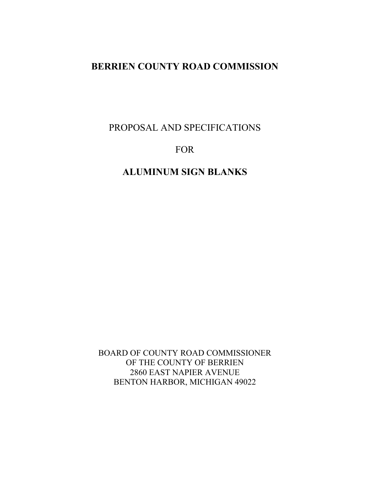PROPOSAL AND SPECIFICATIONS

# FOR

# **ALUMINUM SIGN BLANKS**

BOARD OF COUNTY ROAD COMMISSIONER OF THE COUNTY OF BERRIEN 2860 EAST NAPIER AVENUE BENTON HARBOR, MICHIGAN 49022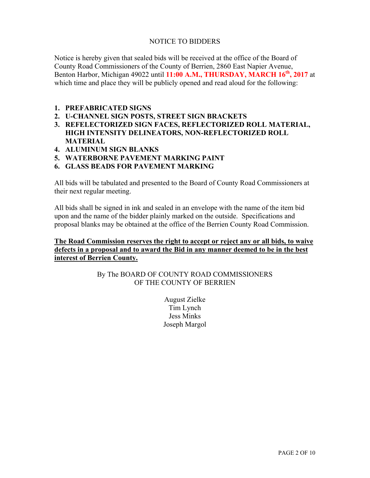### NOTICE TO BIDDERS

Notice is hereby given that sealed bids will be received at the office of the Board of County Road Commissioners of the County of Berrien, 2860 East Napier Avenue, Benton Harbor, Michigan 49022 until **11:00 A.M., THURSDAY, MARCH 16<sup>th</sup>, 2017** at which time and place they will be publicly opened and read aloud for the following:

#### **1. PREFABRICATED SIGNS**

- **2. U-CHANNEL SIGN POSTS, STREET SIGN BRACKETS**
- **3. REFELECTORIZED SIGN FACES, REFLECTORIZED ROLL MATERIAL, HIGH INTENSITY DELINEATORS, NON-REFLECTORIZED ROLL MATERIAL**
- **4. ALUMINUM SIGN BLANKS**
- **5. WATERBORNE PAVEMENT MARKING PAINT**
- **6. GLASS BEADS FOR PAVEMENT MARKING**

All bids will be tabulated and presented to the Board of County Road Commissioners at their next regular meeting.

All bids shall be signed in ink and sealed in an envelope with the name of the item bid upon and the name of the bidder plainly marked on the outside. Specifications and proposal blanks may be obtained at the office of the Berrien County Road Commission.

### **The Road Commission reserves the right to accept or reject any or all bids, to waive defects in a proposal and to award the Bid in any manner deemed to be in the best interest of Berrien County.**

### By The BOARD OF COUNTY ROAD COMMISSIONERS OF THE COUNTY OF BERRIEN

August Zielke Tim Lynch Jess Minks Joseph Margol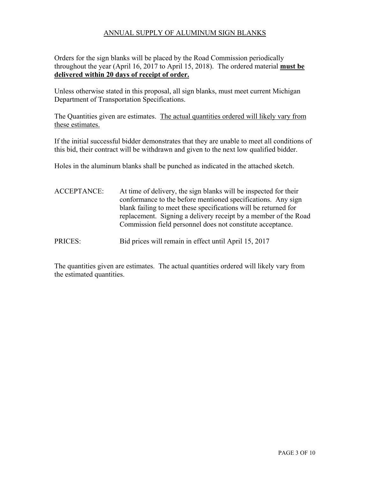### ANNUAL SUPPLY OF ALUMINUM SIGN BLANKS

Orders for the sign blanks will be placed by the Road Commission periodically throughout the year (April 16, 2017 to April 15, 2018). The ordered material **must be delivered within 20 days of receipt of order.** 

Unless otherwise stated in this proposal, all sign blanks, must meet current Michigan Department of Transportation Specifications.

The Quantities given are estimates. The actual quantities ordered will likely vary from these estimates.

If the initial successful bidder demonstrates that they are unable to meet all conditions of this bid, their contract will be withdrawn and given to the next low qualified bidder.

Holes in the aluminum blanks shall be punched as indicated in the attached sketch.

ACCEPTANCE: At time of delivery, the sign blanks will be inspected for their conformance to the before mentioned specifications. Any sign blank failing to meet these specifications will be returned for replacement. Signing a delivery receipt by a member of the Road Commission field personnel does not constitute acceptance.

PRICES: Bid prices will remain in effect until April 15, 2017

The quantities given are estimates. The actual quantities ordered will likely vary from the estimated quantities.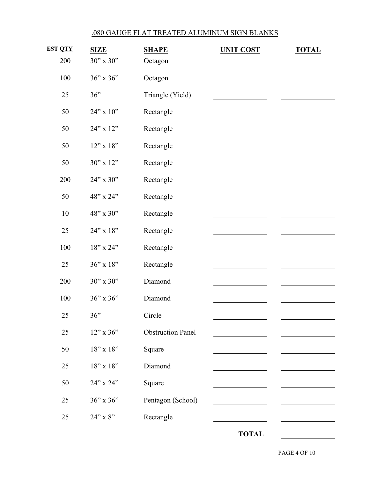# .080 GAUGE FLAT TREATED ALUMINUM SIGN BLANKS

| <b>EST QTY</b> | <b>SIZE</b>     | <b>SHAPE</b>             | <b>UNIT COST</b> | <b>TOTAL</b> |
|----------------|-----------------|--------------------------|------------------|--------------|
| 200            | $30"$ x $30"$   | Octagon                  |                  |              |
| 100            | 36" x 36"       | Octagon                  |                  |              |
| 25             | 36"             | Triangle (Yield)         |                  |              |
| 50             | 24" x 10"       | Rectangle                |                  |              |
| 50             | 24" x 12"       | Rectangle                |                  |              |
| 50             | $12$ " x $18$ " | Rectangle                |                  |              |
| 50             | 30" x 12"       | Rectangle                |                  |              |
| 200            | 24" x 30"       | Rectangle                |                  |              |
| 50             | 48" x 24"       | Rectangle                |                  |              |
| $10\,$         | 48" x 30"       | Rectangle                |                  |              |
| 25             | 24" x 18"       | Rectangle                |                  |              |
| 100            | 18" x 24"       | Rectangle                |                  |              |
| 25             | 36" x 18"       | Rectangle                |                  |              |
| 200            | 30" x 30"       | Diamond                  |                  |              |
| 100            | $36"$ x $36"$   | Diamond                  |                  |              |
| 25             | 36"             | Circle                   |                  |              |
| $25\,$         | $12$ " x 36"    | <b>Obstruction Panel</b> |                  |              |
| 50             | $18"$ x $18"$   | Square                   |                  |              |
| 25             | $18"$ x $18"$   | Diamond                  |                  |              |
| 50             | 24" x 24"       | Square                   |                  |              |
| 25             | 36" x 36"       | Pentagon (School)        |                  |              |
| 25             | $24$ " x 8"     | Rectangle                |                  |              |
|                |                 |                          | <b>TOTAL</b>     |              |

PAGE 4 OF 10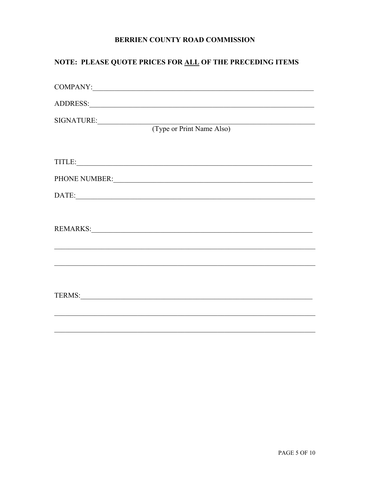# NOTE: PLEASE QUOTE PRICES FOR ALL OF THE PRECEDING ITEMS

| SIGNATURE: (Type or Print Name Also)                                                                                                                                                                                           |
|--------------------------------------------------------------------------------------------------------------------------------------------------------------------------------------------------------------------------------|
| TITLE: NATURE AND TITLES                                                                                                                                                                                                       |
| PHONE NUMBER: University of the contract of the contract of the contract of the contract of the contract of the contract of the contract of the contract of the contract of the contract of the contract of the contract of th |
|                                                                                                                                                                                                                                |
|                                                                                                                                                                                                                                |
|                                                                                                                                                                                                                                |
|                                                                                                                                                                                                                                |
|                                                                                                                                                                                                                                |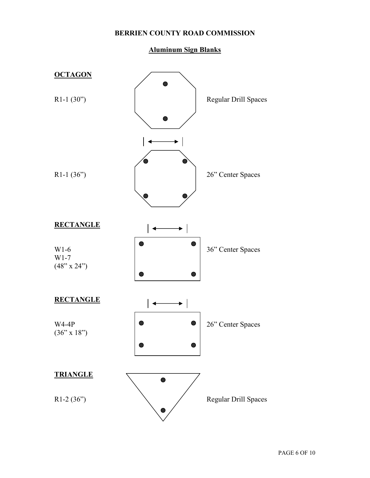### **Aluminum Sign Blanks**

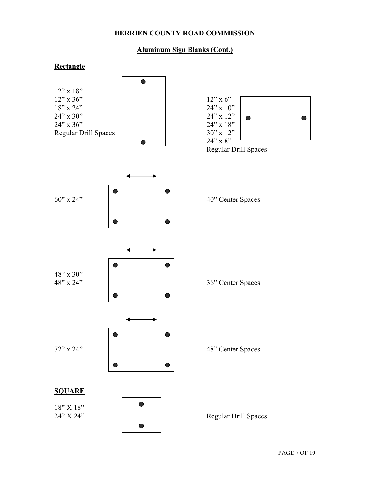### **Aluminum Sign Blanks (Cont.)**

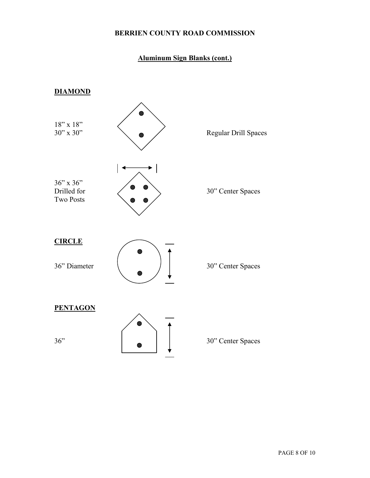# **Aluminum Sign Blanks (cont.)**

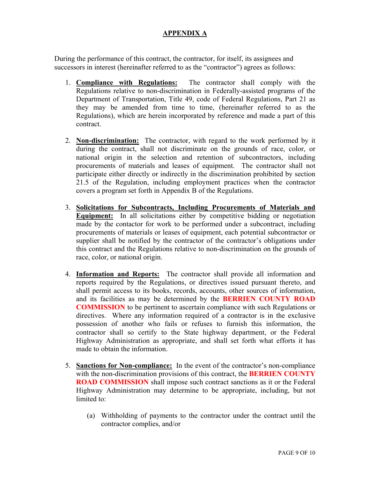## **APPENDIX A**

During the performance of this contract, the contractor, for itself, its assignees and successors in interest (hereinafter referred to as the "contractor") agrees as follows:

- 1. **Compliance with Regulations:** The contractor shall comply with the Regulations relative to non-discrimination in Federally-assisted programs of the Department of Transportation, Title 49, code of Federal Regulations, Part 21 as they may be amended from time to time, (hereinafter referred to as the Regulations), which are herein incorporated by reference and made a part of this contract.
- 2. **Non-discrimination:** The contractor, with regard to the work performed by it during the contract, shall not discriminate on the grounds of race, color, or national origin in the selection and retention of subcontractors, including procurements of materials and leases of equipment. The contractor shall not participate either directly or indirectly in the discrimination prohibited by section 21.5 of the Regulation, including employment practices when the contractor covers a program set forth in Appendix B of the Regulations.
- 3. **Solicitations for Subcontracts, Including Procurements of Materials and Equipment:** In all solicitations either by competitive bidding or negotiation made by the contactor for work to be performed under a subcontract, including procurements of materials or leases of equipment, each potential subcontractor or supplier shall be notified by the contractor of the contractor's obligations under this contract and the Regulations relative to non-discrimination on the grounds of race, color, or national origin.
- 4. **Information and Reports:** The contractor shall provide all information and reports required by the Regulations, or directives issued pursuant thereto, and shall permit access to its books, records, accounts, other sources of information, and its facilities as may be determined by the **BERRIEN COUNTY ROAD COMMISSION** to be pertinent to ascertain compliance with such Regulations or directives. Where any information required of a contractor is in the exclusive possession of another who fails or refuses to furnish this information, the contractor shall so certify to the State highway department, or the Federal Highway Administration as appropriate, and shall set forth what efforts it has made to obtain the information.
- 5. **Sanctions for Non-compliance:** In the event of the contractor's non-compliance with the non-discrimination provisions of this contract, the **BERRIEN COUNTY ROAD COMMISSION** shall impose such contract sanctions as it or the Federal Highway Administration may determine to be appropriate, including, but not limited to:
	- (a) Withholding of payments to the contractor under the contract until the contractor complies, and/or